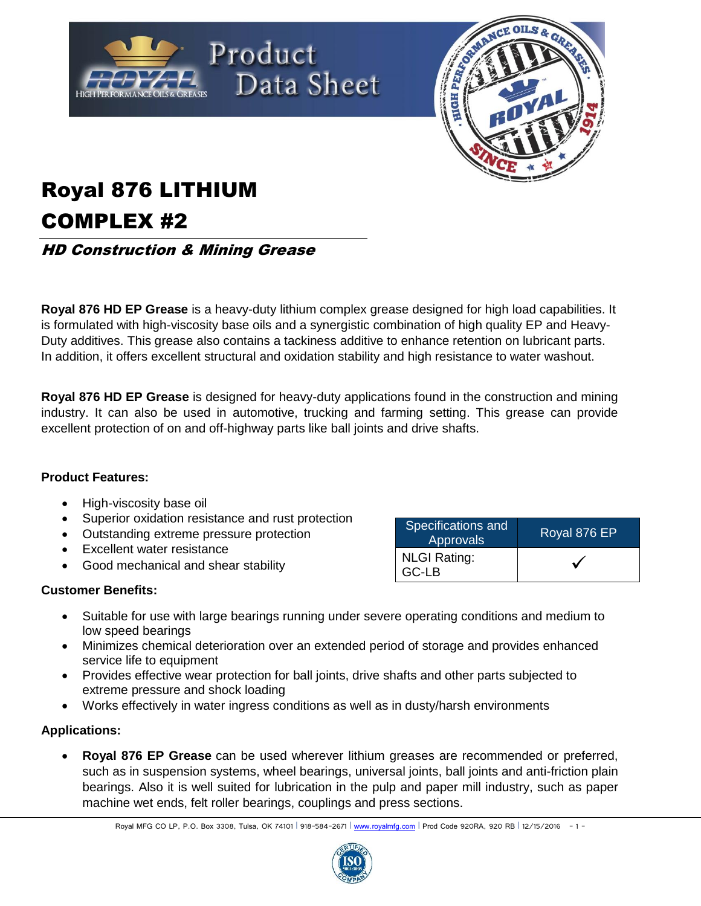



## Royal 876 LITHIUM COMPLEX #2

HD Construction & Mining Grease

**Royal 876 HD EP Grease** is a heavy-duty lithium complex grease designed for high load capabilities. It is formulated with high-viscosity base oils and a synergistic combination of high quality EP and Heavy-Duty additives. This grease also contains a tackiness additive to enhance retention on lubricant parts. In addition, it offers excellent structural and oxidation stability and high resistance to water washout.

**Royal 876 HD EP Grease** is designed for heavy-duty applications found in the construction and mining industry. It can also be used in automotive, trucking and farming setting. This grease can provide excellent protection of on and off-highway parts like ball joints and drive shafts.

## **Product Features:**

- High-viscosity base oil
- Superior oxidation resistance and rust protection
- Outstanding extreme pressure protection
- **Excellent water resistance**
- Good mechanical and shear stability

- Suitable for use with large bearings running under severe operating conditions and medium to low speed bearings
- Minimizes chemical deterioration over an extended period of storage and provides enhanced service life to equipment
- Provides effective wear protection for ball joints, drive shafts and other parts subjected to extreme pressure and shock loading
- Works effectively in water ingress conditions as well as in dusty/harsh environments

## **Applications:**

 **Royal 876 EP Grease** can be used wherever lithium greases are recommended or preferred, such as in suspension systems, wheel bearings, universal joints, ball joints and anti-friction plain bearings. Also it is well suited for lubrication in the pulp and paper mill industry, such as paper machine wet ends, felt roller bearings, couplings and press sections.



| Specifications and<br><b>Approvals</b> | Royal 876 EP |  |
|----------------------------------------|--------------|--|
| <b>NLGI Rating:</b><br>GC-LB           |              |  |